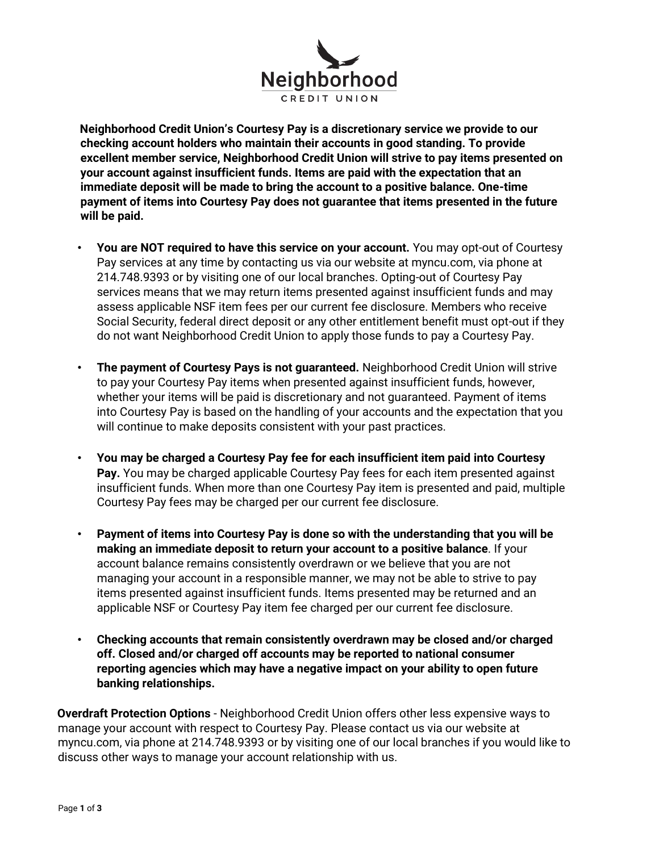

**Neighborhood Credit Union's Courtesy Pay is a discretionary service we provide to our checking account holders who maintain their accounts in good standing. To provide excellent member service, Neighborhood Credit Union will strive to pay items presented on your account against insufficient funds. Items are paid with the expectation that an immediate deposit will be made to bring the account to a positive balance. One-time payment of items into Courtesy Pay does not guarantee that items presented in the future will be paid.** 

- **You are NOT required to have this service on your account.** You may opt-out of Courtesy Pay services at any time by contacting us via our website at myncu.com, via phone at 214.748.9393 or by visiting one of our local branches. Opting-out of Courtesy Pay services means that we may return items presented against insufficient funds and may assess applicable NSF item fees per our current fee disclosure. Members who receive Social Security, federal direct deposit or any other entitlement benefit must opt-out if they do not want Neighborhood Credit Union to apply those funds to pay a Courtesy Pay.
- **The payment of Courtesy Pays is not guaranteed.** Neighborhood Credit Union will strive to pay your Courtesy Pay items when presented against insufficient funds, however, whether your items will be paid is discretionary and not guaranteed. Payment of items into Courtesy Pay is based on the handling of your accounts and the expectation that you will continue to make deposits consistent with your past practices.
- **You may be charged a Courtesy Pay fee for each insufficient item paid into Courtesy Pay.** You may be charged applicable Courtesy Pay fees for each item presented against insufficient funds. When more than one Courtesy Pay item is presented and paid, multiple Courtesy Pay fees may be charged per our current fee disclosure.
- **Payment of items into Courtesy Pay is done so with the understanding that you will be making an immediate deposit to return your account to a positive balance**. If your account balance remains consistently overdrawn or we believe that you are not managing your account in a responsible manner, we may not be able to strive to pay items presented against insufficient funds. Items presented may be returned and an applicable NSF or Courtesy Pay item fee charged per our current fee disclosure.
- **Checking accounts that remain consistently overdrawn may be closed and/or charged off. Closed and/or charged off accounts may be reported to national consumer reporting agencies which may have a negative impact on your ability to open future banking relationships.**

**Overdraft Protection Options** - Neighborhood Credit Union offers other less expensive ways to manage your account with respect to Courtesy Pay. Please contact us via our website at myncu.com, via phone at 214.748.9393 or by visiting one of our local branches if you would like to discuss other ways to manage your account relationship with us.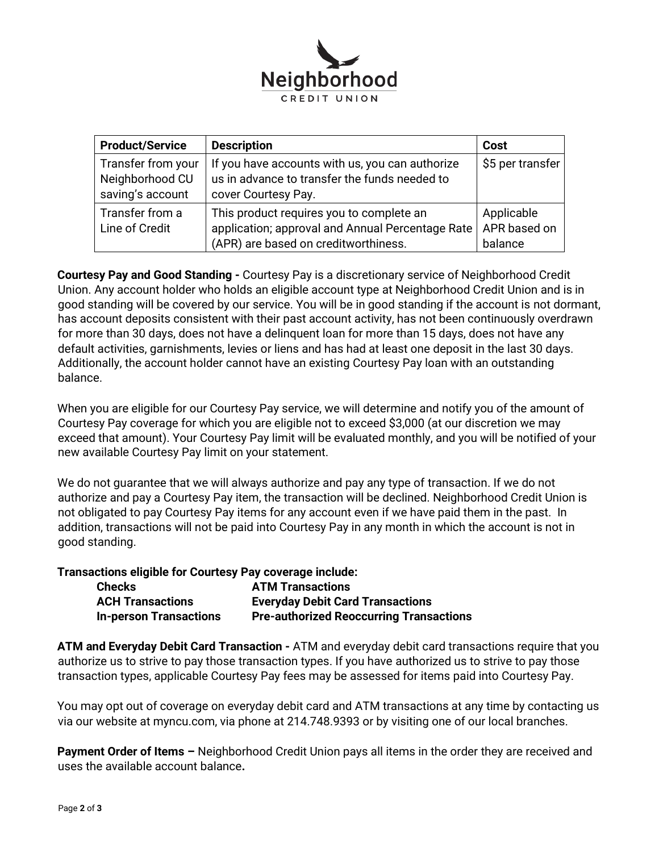

| <b>Product/Service</b>                                    | <b>Description</b>                                                                                                                   | Cost                                  |
|-----------------------------------------------------------|--------------------------------------------------------------------------------------------------------------------------------------|---------------------------------------|
| Transfer from your<br>Neighborhood CU<br>saving's account | If you have accounts with us, you can authorize<br>us in advance to transfer the funds needed to<br>cover Courtesy Pay.              | \$5 per transfer                      |
| Transfer from a<br>Line of Credit                         | This product requires you to complete an<br>application; approval and Annual Percentage Rate<br>(APR) are based on creditworthiness. | Applicable<br>APR based on<br>balance |

**Courtesy Pay and Good Standing -** Courtesy Pay is a discretionary service of Neighborhood Credit Union. Any account holder who holds an eligible account type at Neighborhood Credit Union and is in good standing will be covered by our service. You will be in good standing if the account is not dormant, has account deposits consistent with their past account activity, has not been continuously overdrawn for more than 30 days, does not have a delinquent loan for more than 15 days, does not have any default activities, garnishments, levies or liens and has had at least one deposit in the last 30 days. Additionally, the account holder cannot have an existing Courtesy Pay loan with an outstanding balance.

When you are eligible for our Courtesy Pay service, we will determine and notify you of the amount of Courtesy Pay coverage for which you are eligible not to exceed \$3,000 (at our discretion we may exceed that amount). Your Courtesy Pay limit will be evaluated monthly, and you will be notified of your new available Courtesy Pay limit on your statement.

We do not guarantee that we will always authorize and pay any type of transaction. If we do not authorize and pay a Courtesy Pay item, the transaction will be declined. Neighborhood Credit Union is not obligated to pay Courtesy Pay items for any account even if we have paid them in the past. In addition, transactions will not be paid into Courtesy Pay in any month in which the account is not in good standing.

**Transactions eligible for Courtesy Pay coverage include:** 

| <b>Checks</b>                 | <b>ATM Transactions</b>                        |
|-------------------------------|------------------------------------------------|
| <b>ACH Transactions</b>       | <b>Everyday Debit Card Transactions</b>        |
| <b>In-person Transactions</b> | <b>Pre-authorized Reoccurring Transactions</b> |

**ATM and Everyday Debit Card Transaction -** ATM and everyday debit card transactions require that you authorize us to strive to pay those transaction types. If you have authorized us to strive to pay those transaction types, applicable Courtesy Pay fees may be assessed for items paid into Courtesy Pay.

You may opt out of coverage on everyday debit card and ATM transactions at any time by contacting us via our website at myncu.com, via phone at 214.748.9393 or by visiting one of our local branches.

**Payment Order of Items –** Neighborhood Credit Union pays all items in the order they are received and uses the available account balance**.**